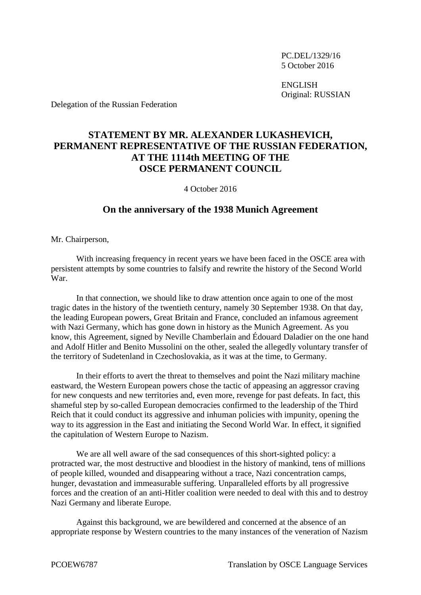PC.DEL/1329/16 5 October 2016

ENGLISH Original: RUSSIAN

Delegation of the Russian Federation

## **STATEMENT BY MR. ALEXANDER LUKASHEVICH, PERMANENT REPRESENTATIVE OF THE RUSSIAN FEDERATION, AT THE 1114th MEETING OF THE OSCE PERMANENT COUNCIL**

4 October 2016

## **On the anniversary of the 1938 Munich Agreement**

Mr. Chairperson,

With increasing frequency in recent years we have been faced in the OSCE area with persistent attempts by some countries to falsify and rewrite the history of the Second World War.

In that connection, we should like to draw attention once again to one of the most tragic dates in the history of the twentieth century, namely 30 September 1938. On that day, the leading European powers, Great Britain and France, concluded an infamous agreement with Nazi Germany, which has gone down in history as the Munich Agreement. As you know, this Agreement, signed by Neville Chamberlain and Édouard Daladier on the one hand and Adolf Hitler and Benito Mussolini on the other, sealed the allegedly voluntary transfer of the territory of Sudetenland in Czechoslovakia, as it was at the time, to Germany.

In their efforts to avert the threat to themselves and point the Nazi military machine eastward, the Western European powers chose the tactic of appeasing an aggressor craving for new conquests and new territories and, even more, revenge for past defeats. In fact, this shameful step by so-called European democracies confirmed to the leadership of the Third Reich that it could conduct its aggressive and inhuman policies with impunity, opening the way to its aggression in the East and initiating the Second World War. In effect, it signified the capitulation of Western Europe to Nazism.

We are all well aware of the sad consequences of this short-sighted policy: a protracted war, the most destructive and bloodiest in the history of mankind, tens of millions of people killed, wounded and disappearing without a trace, Nazi concentration camps, hunger, devastation and immeasurable suffering. Unparalleled efforts by all progressive forces and the creation of an anti-Hitler coalition were needed to deal with this and to destroy Nazi Germany and liberate Europe.

Against this background, we are bewildered and concerned at the absence of an appropriate response by Western countries to the many instances of the veneration of Nazism